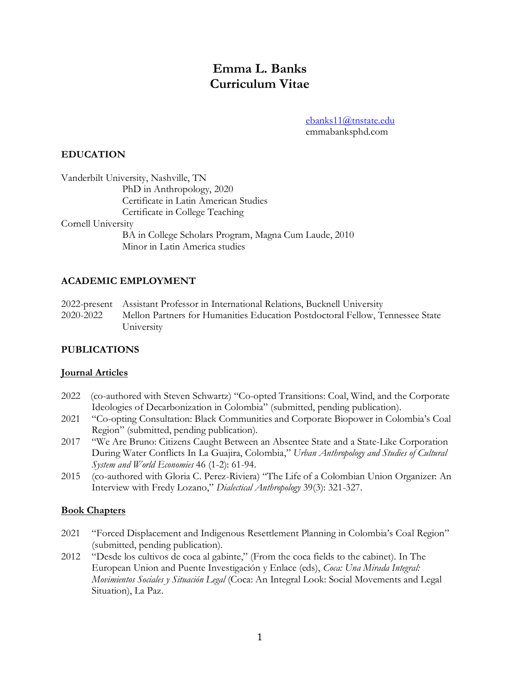# **Emma L. Banks Curriculum Vitae**

[ebanks11@tnstate.edu](mailto:ebanks11@tnstate.edu) emmabanksphd.com

## **EDUCATION**

|                   | Vanderbilt University, Nashville, TN                  |
|-------------------|-------------------------------------------------------|
|                   | PhD in Anthropology, 2020                             |
|                   | Certificate in Latin American Studies                 |
|                   | Certificate in College Teaching                       |
| Comell University |                                                       |
|                   | BA in College Scholars Program, Magna Cum Laude, 2010 |
|                   | Minor in Latin America studies                        |
|                   |                                                       |

## **ACADEMIC EMPLOYMENT**

2022-present Assistant Professor in International Relations, Bucknell University 2020-2022 Mellon Partners for Humanities Education Postdoctoral Fellow, Tennessee State University

## **PUBLICATIONS**

## **Journal Articles**

- 2022 (co-authored with Steven Schwartz) "Co-opted Transitions: Coal, Wind, and the Corporate Ideologies of Decarbonization in Colombia" (submitted, pending publication).
- 2021 "Co-opting Consultation: Black Communities and Corporate Biopower in Colombia's Coal Region" (submitted, pending publication).
- 2017 "We Are Bruno: Citizens Caught Between an Absentee State and a State-Like Corporation During Water Conflicts In La Guajira, Colombia," *Urban Anthropology and Studies of Cultural System and World Economies* 46 (1-2): 61-94.
- 2015 (co-authored with Gloria C. Perez-Riviera) "The Life of a Colombian Union Organizer: An Interview with Fredy Lozano," *Dialectical Anthropology* 39(3): 321-327.

## **Book Chapters**

- 2021 "Forced Displacement and Indigenous Resettlement Planning in Colombia's Coal Region" (submitted, pending publication).
- 2012 "Desde los cultivos de coca al gabinte," (From the coca fields to the cabinet). In The European Union and Puente Investigación y Enlace (eds), *Coca: Una Mirada Integral: Movimientos Sociales y Situación Legal* (Coca: An Integral Look: Social Movements and Legal Situation), La Paz.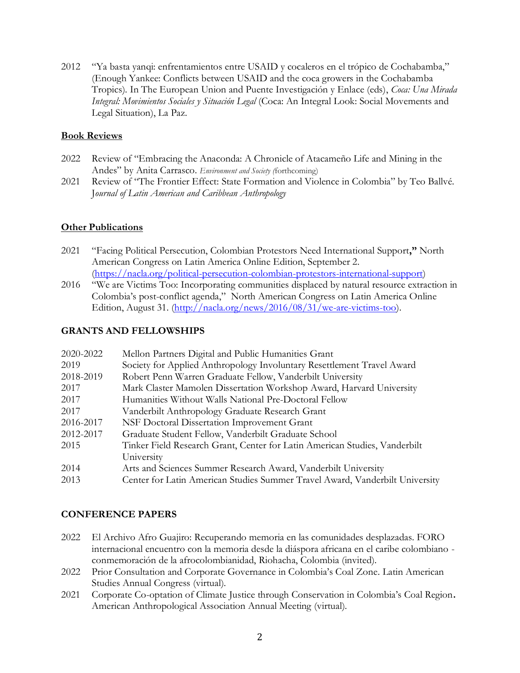2012 "Ya basta yanqi: enfrentamientos entre USAID y cocaleros en el trópico de Cochabamba," (Enough Yankee: Conflicts between USAID and the coca growers in the Cochabamba Tropics). In The European Union and Puente Investigación y Enlace (eds), *Coca: Una Mirada Integral: Movimientos Sociales y Situación Legal* (Coca: An Integral Look: Social Movements and Legal Situation), La Paz.

#### **Book Reviews**

- 2022 Review of "Embracing the Anaconda: A Chronicle of Atacameño Life and Mining in the Andes" by Anita Carrasco. *Environment and Society (*forthcoming)
- 2021 Review of "The Frontier Effect: State Formation and Violence in Colombia" by Teo Ballvé. J*ournal of Latin American and Caribbean Anthropology*

## **Other Publications**

- 2021 "Facing Political Persecution, Colombian Protestors Need International Support**,"** North American Congress on Latin America Online Edition, September 2. [\(https://nacla.org/political-persecution-colombian-protestors-international-support\)](https://nacla.org/political-persecution-colombian-protestors-international-support)
- 2016 "We are Victims Too: Incorporating communities displaced by natural resource extraction in Colombia's post-conflict agenda," North American Congress on Latin America Online Edition, August 31. [\(http://nacla.org/news/2016/08/31/we-are-victims-too\)](http://nacla.org/news/2016/08/31/we-are-victims-too).

## **GRANTS AND FELLOWSHIPS**

| 2020-2022 | Mellon Partners Digital and Public Humanities Grant                          |
|-----------|------------------------------------------------------------------------------|
| 2019      | Society for Applied Anthropology Involuntary Resettlement Travel Award       |
| 2018-2019 | Robert Penn Warren Graduate Fellow, Vanderbilt University                    |
| 2017      | Mark Claster Mamolen Dissertation Workshop Award, Harvard University         |
| 2017      | Humanities Without Walls National Pre-Doctoral Fellow                        |
| 2017      | Vanderbilt Anthropology Graduate Research Grant                              |
| 2016-2017 | NSF Doctoral Dissertation Improvement Grant                                  |
| 2012-2017 | Graduate Student Fellow, Vanderbilt Graduate School                          |
| 2015      | Tinker Field Research Grant, Center for Latin American Studies, Vanderbilt   |
|           | University                                                                   |
| 2014      | Arts and Sciences Summer Research Award, Vanderbilt University               |
| 2013      | Center for Latin American Studies Summer Travel Award, Vanderbilt University |

# **CONFERENCE PAPERS**

- 2022 El Archivo Afro Guajiro: Recuperando memoria en las comunidades desplazadas. FORO internacional encuentro con la memoria desde la diáspora africana en el caribe colombiano conmemoración de la afrocolombianidad, Riohacha, Colombia (invited).
- 2022 Prior Consultation and Corporate Governance in Colombia's Coal Zone. Latin American Studies Annual Congress (virtual).
- 2021 Corporate Co-optation of Climate Justice through Conservation in Colombia's Coal Region**.**  American Anthropological Association Annual Meeting (virtual).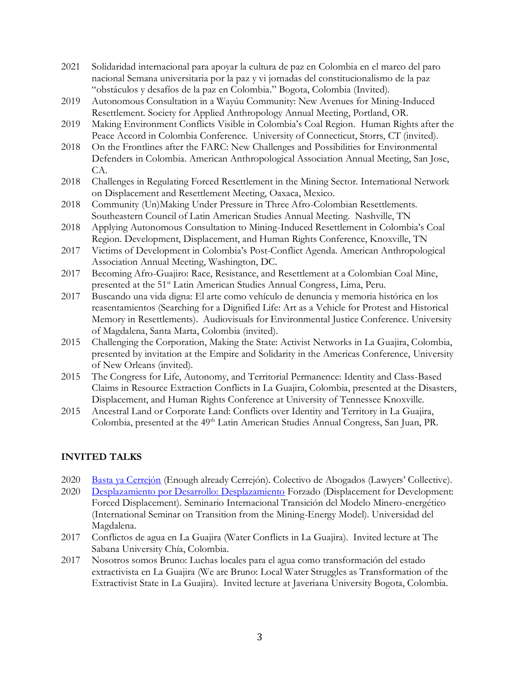- 2021 Solidaridad internacional para apoyar la cultura de paz en Colombia en el marco del paro nacional Semana universitaria por la paz y vi jornadas del constitucionalismo de la paz "obstáculos y desafíos de la paz en Colombia." Bogota, Colombia (Invited).
- 2019 Autonomous Consultation in a Wayúu Community: New Avenues for Mining-Induced Resettlement. Society for Applied Anthropology Annual Meeting, Portland, OR.
- 2019 Making Environment Conflicts Visible in Colombia's Coal Region. Human Rights after the Peace Accord in Colombia Conference. University of Connecticut, Storrs, CT (invited).
- 2018 On the Frontlines after the FARC: New Challenges and Possibilities for Environmental Defenders in Colombia. American Anthropological Association Annual Meeting, San Jose, CA.
- 2018 Challenges in Regulating Forced Resettlement in the Mining Sector. International Network on Displacement and Resettlement Meeting, Oaxaca, Mexico.
- 2018 Community (Un)Making Under Pressure in Three Afro-Colombian Resettlements. Southeastern Council of Latin American Studies Annual Meeting. Nashville, TN
- 2018 Applying Autonomous Consultation to Mining-Induced Resettlement in Colombia's Coal Region. Development, Displacement, and Human Rights Conference, Knoxville, TN
- 2017 Victims of Development in Colombia's Post-Conflict Agenda. American Anthropological Association Annual Meeting, Washington, DC.
- 2017 Becoming Afro-Guajiro: Race, Resistance, and Resettlement at a Colombian Coal Mine, presented at the 51<sup>st</sup> Latin American Studies Annual Congress, Lima, Peru.
- 2017 Buscando una vida digna: El arte como vehículo de denuncia y memoria histórica en los reasentamientos (Searching for a Dignified Life: Art as a Vehicle for Protest and Historical Memory in Resettlements). Audiovisuals for Environmental Justice Conference. University of Magdalena, Santa Marta, Colombia (invited).
- 2015 Challenging the Corporation, Making the State: Activist Networks in La Guajira, Colombia, presented by invitation at the Empire and Solidarity in the Americas Conference, University of New Orleans (invited).
- 2015 The Congress for Life, Autonomy, and Territorial Permanence: Identity and Class-Based Claims in Resource Extraction Conflicts in La Guajira, Colombia, presented at the Disasters, Displacement, and Human Rights Conference at University of Tennessee Knoxville.
- 2015 Ancestral Land or Corporate Land: Conflicts over Identity and Territory in La Guajira, Colombia, presented at the 49<sup>th</sup> Latin American Studies Annual Congress, San Juan, PR.

# **INVITED TALKS**

- 2020 [Basta ya Cerrejón](https://www.facebook.com/watch/live/?v=3732925283397725&ref=external) (Enough already Cerrejón). Colectivo de Abogados (Lawyers' Collective).
- 2020 [Desplazamiento por Desarrollo: Desplazamiento](https://www.youtube.com/watch?v=SW_6eCItInM&t=1s) Forzado (Displacement for Development: Forced Displacement). Seminario Internacional Transición del Modelo Minero-energético (International Seminar on Transition from the Mining-Energy Model). Universidad del Magdalena.
- 2017 Conflictos de agua en La Guajira (Water Conflicts in La Guajira). Invited lecture at The Sabana University Chía, Colombia.
- 2017 Nosotros somos Bruno: Luchas locales para el agua como transformación del estado extractivista en La Guajira (We are Bruno: Local Water Struggles as Transformation of the Extractivist State in La Guajira). Invited lecture at Javeriana University Bogota, Colombia.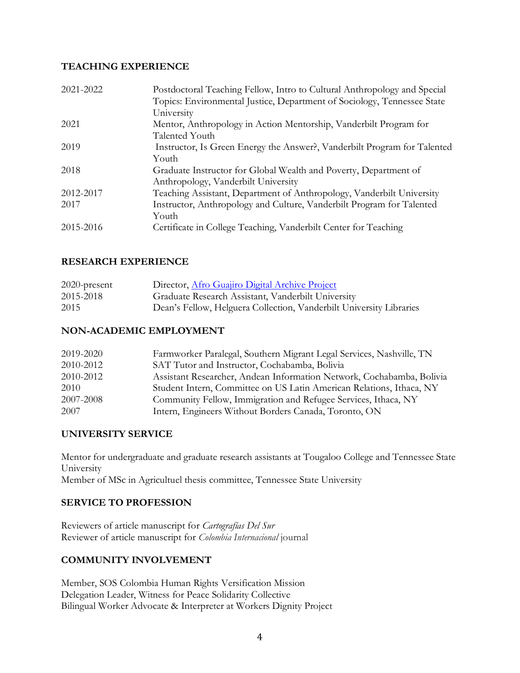## **TEACHING EXPERIENCE**

| 2021-2022 | Postdoctoral Teaching Fellow, Intro to Cultural Anthropology and Special<br>Topics: Environmental Justice, Department of Sociology, Tennessee State<br>University |
|-----------|-------------------------------------------------------------------------------------------------------------------------------------------------------------------|
| 2021      | Mentor, Anthropology in Action Mentorship, Vanderbilt Program for<br>Talented Youth                                                                               |
| 2019      | Instructor, Is Green Energy the Answer?, Vanderbilt Program for Talented<br>Youth                                                                                 |
| 2018      | Graduate Instructor for Global Wealth and Poverty, Department of<br>Anthropology, Vanderbilt University                                                           |
| 2012-2017 | Teaching Assistant, Department of Anthropology, Vanderbilt University                                                                                             |
| 2017      | Instructor, Anthropology and Culture, Vanderbilt Program for Talented<br>Youth                                                                                    |
| 2015-2016 | Certificate in College Teaching, Vanderbilt Center for Teaching                                                                                                   |

# **RESEARCH EXPERIENCE**

| $2020$ -present | Director, Afro Guajiro Digital Archive Project                      |
|-----------------|---------------------------------------------------------------------|
| 2015-2018       | Graduate Research Assistant, Vanderbilt University                  |
| 2015            | Dean's Fellow, Helguera Collection, Vanderbilt University Libraries |

## **NON-ACADEMIC EMPLOYMENT**

| 2019-2020 | Farmworker Paralegal, Southern Migrant Legal Services, Nashville, TN  |
|-----------|-----------------------------------------------------------------------|
| 2010-2012 | SAT Tutor and Instructor, Cochabamba, Bolivia                         |
| 2010-2012 | Assistant Researcher, Andean Information Network, Cochabamba, Bolivia |
| 2010      | Student Intern, Committee on US Latin American Relations, Ithaca, NY  |
| 2007-2008 | Community Fellow, Immigration and Refugee Services, Ithaca, NY        |
| 2007      | Intern, Engineers Without Borders Canada, Toronto, ON                 |

## **UNIVERSITY SERVICE**

Mentor for undergraduate and graduate research assistants at Tougaloo College and Tennessee State University Member of MSc in Agricultuel thesis committee, Tennessee State University

# **SERVICE TO PROFESSION**

Reviewers of article manuscript for *Cartografías Del Sur* Reviewer of article manuscript for *Colombia Internacional* journal

# **COMMUNITY INVOLVEMENT**

Member, SOS Colombia Human Rights Versification Mission Delegation Leader, Witness for Peace Solidarity Collective Bilingual Worker Advocate & Interpreter at Workers Dignity Project